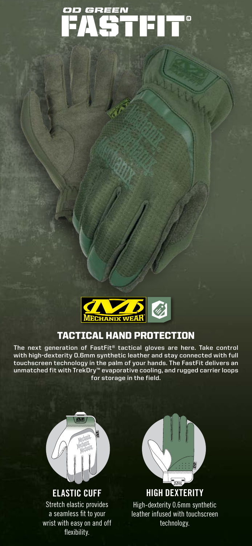



## TACTICAL HAND PROTECTION

**The next generation of FastFit® tactical gloves are here. Take control with high-dexterity 0.6mm synthetic leather and stay connected with full touchscreen technology in the palm of your hands. The FastFit delivers an unmatched fit with TrekDry™ evaporative cooling, and rugged carrier loops for storage in the field.**



Stretch elastic provides a seamless fit to your wrist with easy on and off flexibility.



**HIGH DEXTERITY** High-dexterity 0.6mm synthetic leather infused with touchscreen technology.